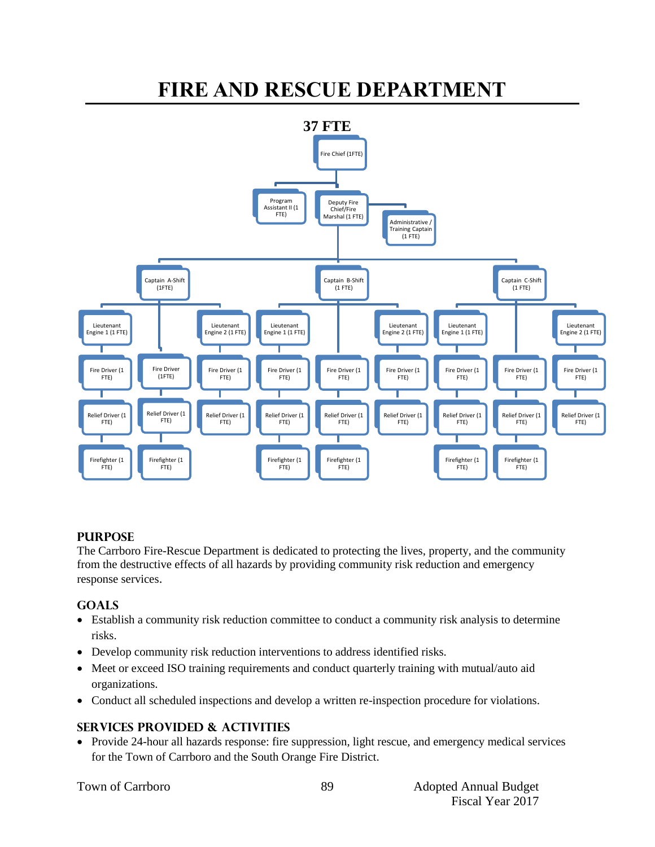# **FIRE AND RESCUE DEPARTMENT**



## **PURPOSE**

The Carrboro Fire-Rescue Department is dedicated to protecting the lives, property, and the community from the destructive effects of all hazards by providing community risk reduction and emergency response services.

# **GOALS**

- Establish a community risk reduction committee to conduct a community risk analysis to determine risks.
- Develop community risk reduction interventions to address identified risks.
- Meet or exceed ISO training requirements and conduct quarterly training with mutual/auto aid organizations.
- Conduct all scheduled inspections and develop a written re-inspection procedure for violations.

# **SERVICES PROVIDED & ACTIVITIES**

 Provide 24-hour all hazards response: fire suppression, light rescue, and emergency medical services for the Town of Carrboro and the South Orange Fire District.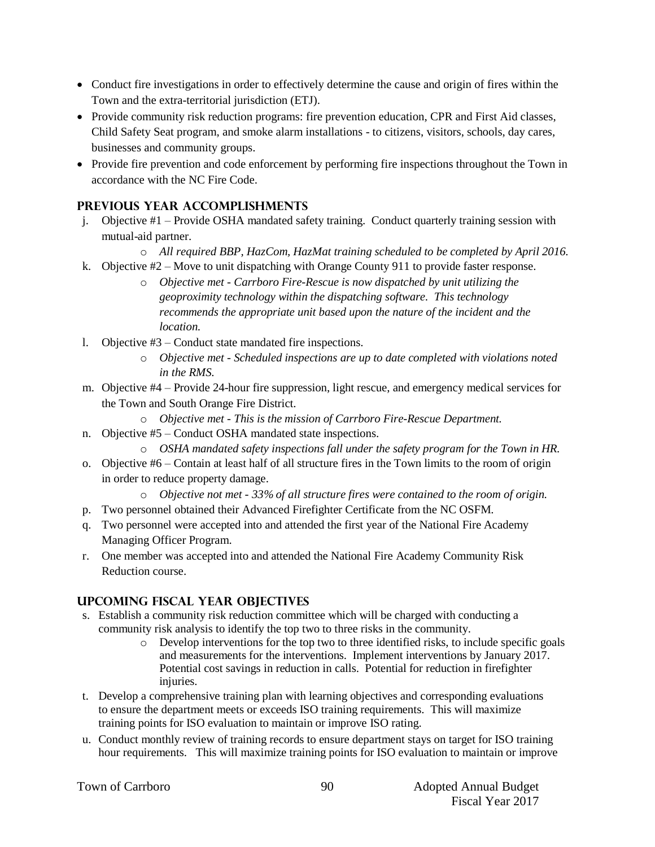- Conduct fire investigations in order to effectively determine the cause and origin of fires within the Town and the extra-territorial jurisdiction (ETJ).
- Provide community risk reduction programs: fire prevention education, CPR and First Aid classes, Child Safety Seat program, and smoke alarm installations - to citizens, visitors, schools, day cares, businesses and community groups.
- Provide fire prevention and code enforcement by performing fire inspections throughout the Town in accordance with the NC Fire Code.

# **PREVIOUS YEAR ACCOMPLISHMENTS**

- j. Objective #1 Provide OSHA mandated safety training. Conduct quarterly training session with mutual-aid partner.
	- o *All required BBP, HazCom, HazMat training scheduled to be completed by April 2016.*
- k. Objective #2 Move to unit dispatching with Orange County 911 to provide faster response.
	- o *Objective met - Carrboro Fire-Rescue is now dispatched by unit utilizing the geoproximity technology within the dispatching software. This technology recommends the appropriate unit based upon the nature of the incident and the location.*
- l. Objective #3 Conduct state mandated fire inspections.
	- o *Objective met - Scheduled inspections are up to date completed with violations noted in the RMS.*
- m. Objective #4 Provide 24-hour fire suppression, light rescue, and emergency medical services for the Town and South Orange Fire District.
	- o *Objective met - This is the mission of Carrboro Fire-Rescue Department.*
- n. Objective #5 Conduct OSHA mandated state inspections.
	- o *OSHA mandated safety inspections fall under the safety program for the Town in HR.*
- o. Objective #6 Contain at least half of all structure fires in the Town limits to the room of origin in order to reduce property damage.
	- o *Objective not met - 33% of all structure fires were contained to the room of origin.*
- p. Two personnel obtained their Advanced Firefighter Certificate from the NC OSFM.
- q. Two personnel were accepted into and attended the first year of the National Fire Academy Managing Officer Program.
- r. One member was accepted into and attended the National Fire Academy Community Risk Reduction course.

## **UPCOMING FISCAL YEAR OBJECTIVES**

- s. Establish a community risk reduction committee which will be charged with conducting a community risk analysis to identify the top two to three risks in the community.
	- o Develop interventions for the top two to three identified risks, to include specific goals and measurements for the interventions. Implement interventions by January 2017. Potential cost savings in reduction in calls. Potential for reduction in firefighter injuries.
- t. Develop a comprehensive training plan with learning objectives and corresponding evaluations to ensure the department meets or exceeds ISO training requirements. This will maximize training points for ISO evaluation to maintain or improve ISO rating.
- u. Conduct monthly review of training records to ensure department stays on target for ISO training hour requirements. This will maximize training points for ISO evaluation to maintain or improve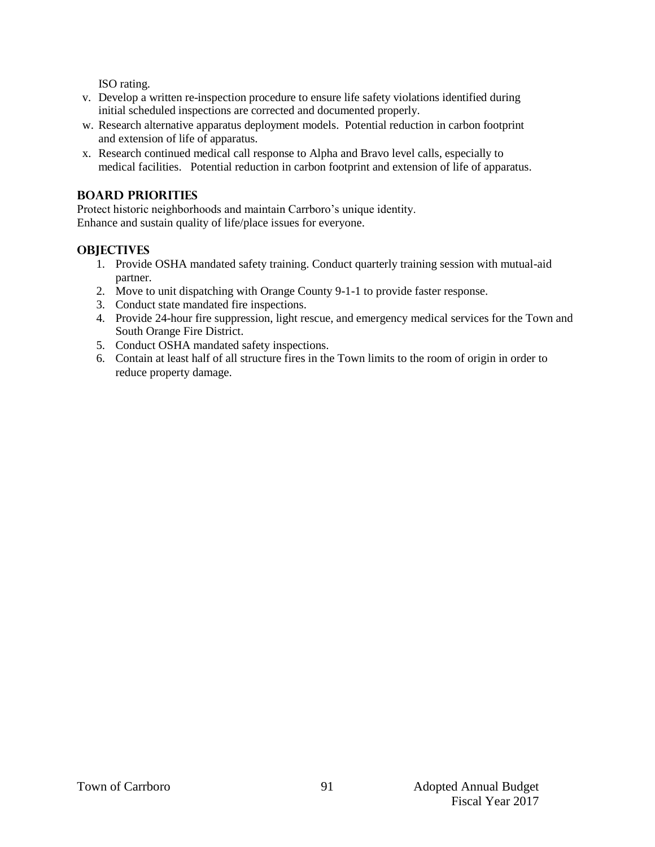ISO rating.

- v. Develop a written re-inspection procedure to ensure life safety violations identified during initial scheduled inspections are corrected and documented properly.
- w. Research alternative apparatus deployment models. Potential reduction in carbon footprint and extension of life of apparatus.
- x. Research continued medical call response to Alpha and Bravo level calls, especially to medical facilities. Potential reduction in carbon footprint and extension of life of apparatus.

# **BOARD PRIORITIES**

Protect historic neighborhoods and maintain Carrboro's unique identity. Enhance and sustain quality of life/place issues for everyone.

# **OBJECTIVES**

- 1. Provide OSHA mandated safety training. Conduct quarterly training session with mutual-aid partner.
- 2. Move to unit dispatching with Orange County 9-1-1 to provide faster response.
- 3. Conduct state mandated fire inspections.
- 4. Provide 24-hour fire suppression, light rescue, and emergency medical services for the Town and South Orange Fire District.
- 5. Conduct OSHA mandated safety inspections.
- 6. Contain at least half of all structure fires in the Town limits to the room of origin in order to reduce property damage.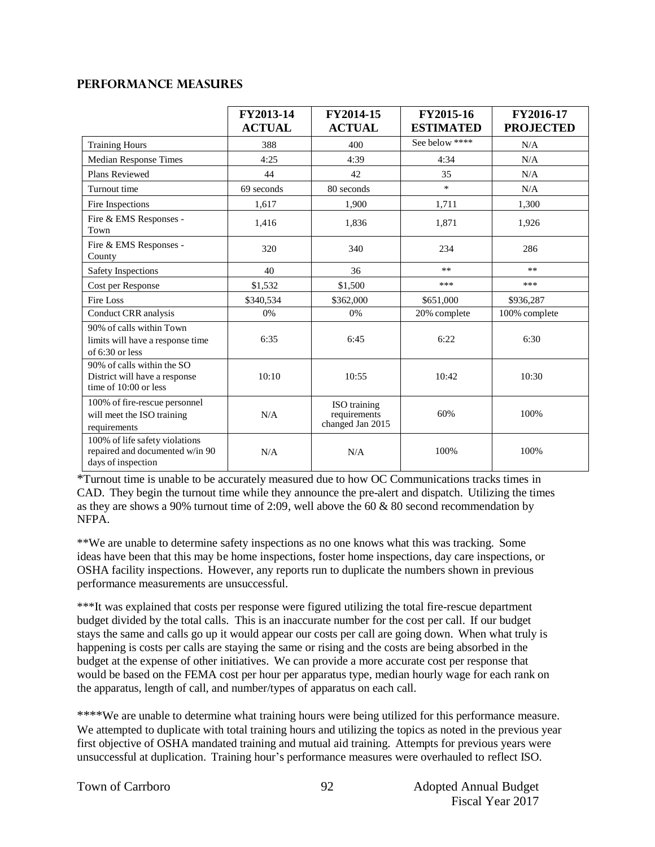## **Performance Measures**

|                                                                                         | FY2013-14<br><b>ACTUAL</b> | FY2014-15<br><b>ACTUAL</b>                       | FY2015-16<br><b>ESTIMATED</b> | FY2016-17<br><b>PROJECTED</b> |
|-----------------------------------------------------------------------------------------|----------------------------|--------------------------------------------------|-------------------------------|-------------------------------|
| <b>Training Hours</b>                                                                   | 388                        | 400                                              | See below ****                | N/A                           |
| <b>Median Response Times</b>                                                            | 4:25                       | 4:39                                             | 4:34                          | N/A                           |
| Plans Reviewed                                                                          | 44                         | 42                                               | 35                            | N/A                           |
| Turnout time                                                                            | 69 seconds                 | 80 seconds                                       | $\ast$                        | N/A                           |
| Fire Inspections                                                                        | 1,617                      | 1,900                                            | 1,711                         | 1,300                         |
| Fire & EMS Responses -<br>Town                                                          | 1,416                      | 1,836                                            | 1,871                         | 1,926                         |
| Fire & EMS Responses -<br>County                                                        | 320                        | 340                                              | 234                           | 286                           |
| Safety Inspections                                                                      | 40                         | 36                                               | $**$                          | $***$                         |
| Cost per Response                                                                       | \$1,532                    | \$1,500                                          | ***                           | ***                           |
| Fire Loss                                                                               | \$340,534                  | \$362,000                                        | \$651,000                     | \$936,287                     |
| Conduct CRR analysis                                                                    | 0%                         | 0%                                               | 20% complete                  | 100% complete                 |
| 90% of calls within Town<br>limits will have a response time<br>of $6:30$ or less       | 6:35                       | 6:45                                             | 6:22                          | 6:30                          |
| 90% of calls within the SO<br>District will have a response<br>time of 10:00 or less    | 10:10                      | 10:55                                            | 10:42                         | 10:30                         |
| 100% of fire-rescue personnel<br>will meet the ISO training<br>requirements             | N/A                        | ISO training<br>requirements<br>changed Jan 2015 | 60%                           | 100%                          |
| 100% of life safety violations<br>repaired and documented w/in 90<br>days of inspection | N/A                        | N/A                                              | 100%                          | 100%                          |

\*Turnout time is unable to be accurately measured due to how OC Communications tracks times in CAD. They begin the turnout time while they announce the pre-alert and dispatch. Utilizing the times as they are shows a 90% turnout time of 2:09, well above the 60 & 80 second recommendation by NFPA.

\*\*We are unable to determine safety inspections as no one knows what this was tracking. Some ideas have been that this may be home inspections, foster home inspections, day care inspections, or OSHA facility inspections. However, any reports run to duplicate the numbers shown in previous performance measurements are unsuccessful.

\*\*\*It was explained that costs per response were figured utilizing the total fire-rescue department budget divided by the total calls. This is an inaccurate number for the cost per call. If our budget stays the same and calls go up it would appear our costs per call are going down. When what truly is happening is costs per calls are staying the same or rising and the costs are being absorbed in the budget at the expense of other initiatives. We can provide a more accurate cost per response that would be based on the FEMA cost per hour per apparatus type, median hourly wage for each rank on the apparatus, length of call, and number/types of apparatus on each call.

\*\*\*\*We are unable to determine what training hours were being utilized for this performance measure. We attempted to duplicate with total training hours and utilizing the topics as noted in the previous year first objective of OSHA mandated training and mutual aid training. Attempts for previous years were unsuccessful at duplication. Training hour's performance measures were overhauled to reflect ISO.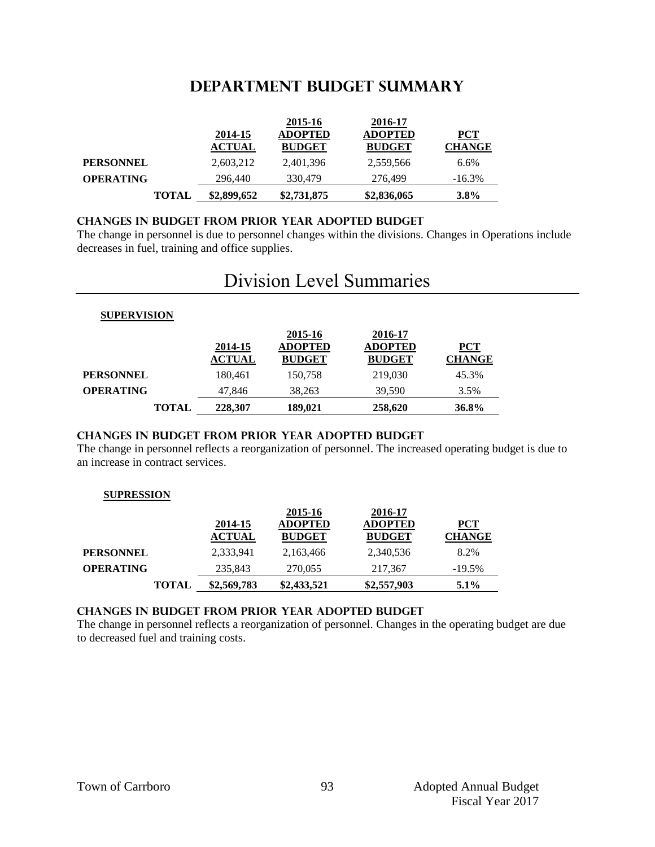# **DEPARTMENT Budget summary**

|                  |              |               | 2015-16        | 2016-17        |               |
|------------------|--------------|---------------|----------------|----------------|---------------|
|                  |              | 2014-15       | <b>ADOPTED</b> | <b>ADOPTED</b> | <b>PCT</b>    |
|                  |              | <b>ACTUAL</b> | <b>BUDGET</b>  | <b>BUDGET</b>  | <b>CHANGE</b> |
| <b>PERSONNEL</b> |              | 2,603,212     | 2,401,396      | 2,559,566      | 6.6%          |
| <b>OPERATING</b> |              | 296,440       | 330,479        | 276.499        | $-16.3\%$     |
|                  | <b>TOTAL</b> | \$2,899,652   | \$2,731,875    | \$2,836,065    | $3.8\%$       |

### **CHANGES IN BUDGET from PRIOR YEAR ADOPTED BUDGET**

The change in personnel is due to personnel changes within the divisions. Changes in Operations include decreases in fuel, training and office supplies.

# Division Level Summaries

#### **SUPERVISION**

|                  | 2014-15<br><b>ACTUAL</b> | 2015-16<br><b>ADOPTED</b><br><b>BUDGET</b> | 2016-17<br><b>ADOPTED</b><br><b>BUDGET</b> | $PCT$<br><b>CHANGE</b> |
|------------------|--------------------------|--------------------------------------------|--------------------------------------------|------------------------|
| <b>PERSONNEL</b> | 180.461                  | 150,758                                    | 219,030                                    | 45.3%                  |
| <b>OPERATING</b> | 47,846                   | 38,263                                     | 39,590                                     | 3.5%                   |
| <b>TOTAL</b>     | 228,307                  | 189,021                                    | 258,620                                    | 36.8%                  |

### **changes in budget from prior year adopted budget**

The change in personnel reflects a reorganization of personnel. The increased operating budget is due to an increase in contract services.

### **SUPRESSION**

|                  |               | 2015-16        | 2016-17        |               |
|------------------|---------------|----------------|----------------|---------------|
|                  | 2014-15       | <b>ADOPTED</b> | <b>ADOPTED</b> | <u>PCT</u>    |
|                  | <b>ACTUAL</b> | <b>BUDGET</b>  | <b>BUDGET</b>  | <b>CHANGE</b> |
| <b>PERSONNEL</b> | 2,333,941     | 2,163,466      | 2,340,536      | 8.2%          |
| <b>OPERATING</b> | 235,843       | 270.055        | 217,367        | $-19.5%$      |
| <b>TOTAL</b>     | \$2,569,783   | \$2,433,521    | \$2,557,903    | $5.1\%$       |

### **changes in budget from prior year adopted budget**

The change in personnel reflects a reorganization of personnel. Changes in the operating budget are due to decreased fuel and training costs.